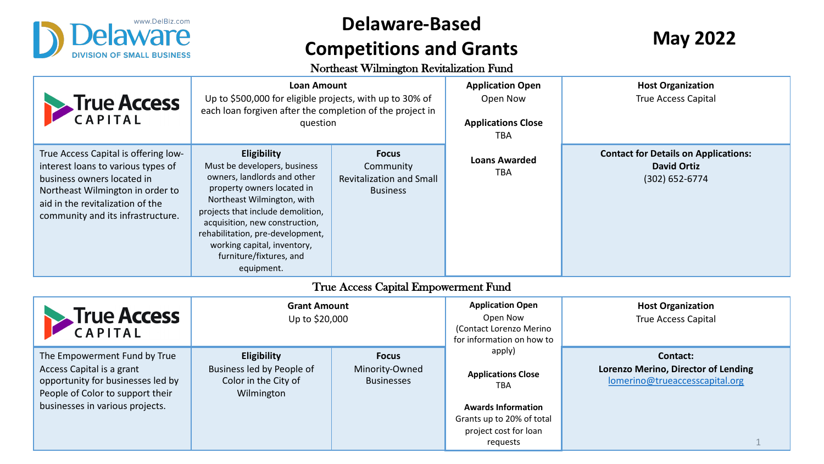

## **Delaware-Based Competitions and Grants**

Northeast Wilmington Revitalization Fund

| <b>Frue Access</b>                                                                                                                                                                                                    | <b>Loan Amount</b><br>Up to \$500,000 for eligible projects, with up to 30% of<br>each loan forgiven after the completion of the project in<br>question                                                                                                                                                                   |                                                                                 | Application O<br>Open Now<br><b>Applications C</b><br><b>TBA</b>                                                            |
|-----------------------------------------------------------------------------------------------------------------------------------------------------------------------------------------------------------------------|---------------------------------------------------------------------------------------------------------------------------------------------------------------------------------------------------------------------------------------------------------------------------------------------------------------------------|---------------------------------------------------------------------------------|-----------------------------------------------------------------------------------------------------------------------------|
| True Access Capital is offering low-<br>interest loans to various types of<br>business owners located in<br>Northeast Wilmington in order to<br>aid in the revitalization of the<br>community and its infrastructure. | Eligibility<br>Must be developers, business<br>owners, landlords and other<br>property owners located in<br>Northeast Wilmington, with<br>projects that include demolition,<br>acquisition, new construction,<br>rehabilitation, pre-development,<br>working capital, inventory,<br>furniture/fixtures, and<br>equipment. | <b>Focus</b><br>Community<br><b>Revitalization and Small</b><br><b>Business</b> | <b>Loans Award</b><br><b>TBA</b>                                                                                            |
|                                                                                                                                                                                                                       |                                                                                                                                                                                                                                                                                                                           | True Access Capital Empowerment Fund                                            |                                                                                                                             |
| <b>Frue Access</b>                                                                                                                                                                                                    | <b>Grant Amount</b><br>Up to \$20,000                                                                                                                                                                                                                                                                                     |                                                                                 | <b>Application Op</b><br>Open Now<br>(Contact Lorenzo I<br>for information on                                               |
| The Empowerment Fund by True<br>Access Capital is a grant<br>opportunity for businesses led by<br>People of Color to support their<br>businesses in various projects.                                                 | Eligibility<br>Business led by People of<br>Color in the City of<br>Wilmington                                                                                                                                                                                                                                            | <b>Focus</b><br>Minority-Owned<br><b>Businesses</b>                             | apply)<br><b>Applications Cl</b><br><b>TBA</b><br><b>Awards Informa</b><br>Grants up to 20%<br>project cost for<br>requests |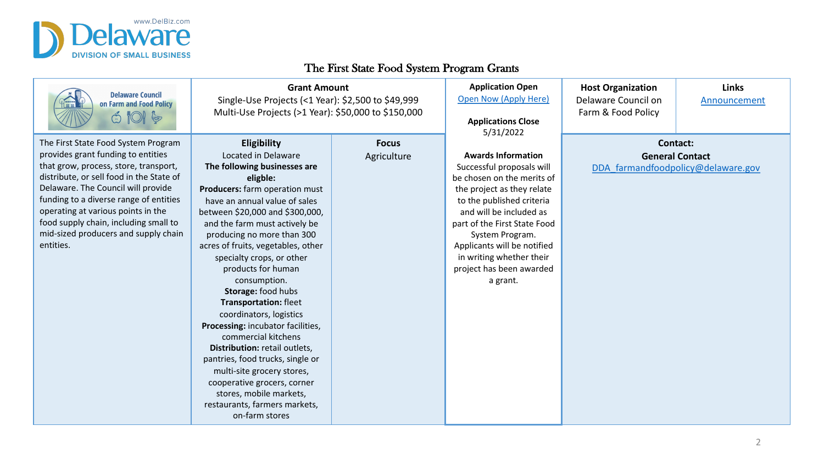

**Delaware Council** on Farm and Food Policy  $\circledcirc$  ior  $\circledcirc$ 

#### The First State Food System Program Grants

**Focus** Agriculture

#### **Grant Amount**

Single-Use Projects (<1 Year): \$2,500 to \$49,999 Multi-Use Projects (>1 Year): \$50,000 to \$150,000

The First State Food System Program provides grant funding to entities that grow, process, store, transport, distribute, or sell food in the State of Delaware. The Council will provide funding to a diverse range of entities operating at various points in the food supply chain, including small to mid-sized producers and supply chain entities.

**Eligibility** Located in Delaware **The following businesses are eligble: Producers:** farm operation must have an annual value of sales between \$20,000 and \$300,000, and the farm must actively be producing no more than 300 acres of fruits, vegetables, other specialty crops, or other products for human consumption. **Storage:** food hubs **Transportation:** fleet coordinators, logistics **Processing:** incubator facilities, commercial kitchens **Distribution:** retail outlets, pantries, food trucks, single or multi-site grocery stores, cooperative grocers, corner stores, mobile markets, restaurants, farmers markets, on-farm stores

**Application Open Open Now (Apply** 

> **Applications C** 5/31/2022

#### **Awards Informa**

Successful propos be chosen on the n the project as they to the published of and will be includ part of the First Sta System Progra Applicants will be n in writing whethe project has been a a grant.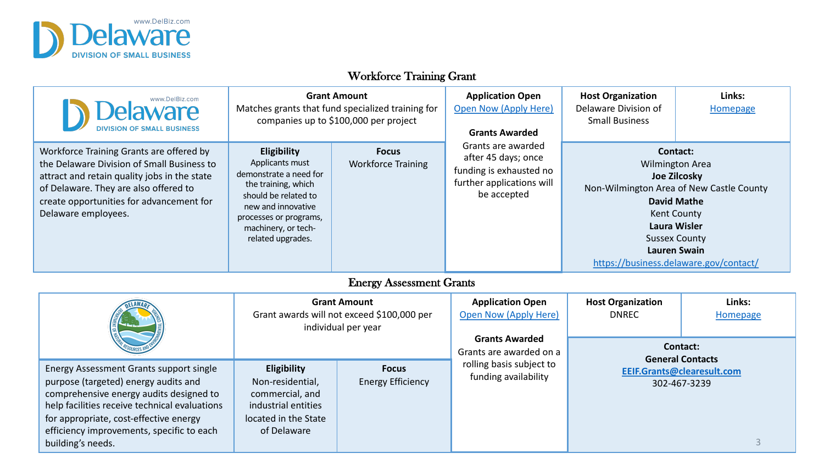

## Workforce Training Grant

| www.DelBiz.com                                                                                                                                                                                                                                     |                                                                                                                                                                                                     | <b>Grant Amount</b><br>Matches grants that fund specialized training for<br>companies up to \$100,000 per project | <b>Application O</b><br>Open Now (Apply<br><b>Grants Award</b>                               |
|----------------------------------------------------------------------------------------------------------------------------------------------------------------------------------------------------------------------------------------------------|-----------------------------------------------------------------------------------------------------------------------------------------------------------------------------------------------------|-------------------------------------------------------------------------------------------------------------------|----------------------------------------------------------------------------------------------|
| Workforce Training Grants are offered by<br>the Delaware Division of Small Business to<br>attract and retain quality jobs in the state<br>of Delaware. They are also offered to<br>create opportunities for advancement for<br>Delaware employees. | Eligibility<br>Applicants must<br>demonstrate a need for<br>the training, which<br>should be related to<br>new and innovative<br>processes or programs,<br>machinery, or tech-<br>related upgrades. | <b>Focus</b><br><b>Workforce Training</b>                                                                         | Grants are awa<br>after 45 days; d<br>funding is exhaus<br>further applicatio<br>be accepted |
|                                                                                                                                                                                                                                                    |                                                                                                                                                                                                     | <b>Energy Assessment Grants</b>                                                                                   |                                                                                              |
|                                                                                                                                                                                                                                                    |                                                                                                                                                                                                     |                                                                                                                   |                                                                                              |
|                                                                                                                                                                                                                                                    |                                                                                                                                                                                                     | <b>Grant Amount</b><br>Grant awards will not exceed \$100,000 per<br>individual per year                          | Application<br><b>Open Now (App</b><br><b>Grants Awal</b><br>Grants are awar                 |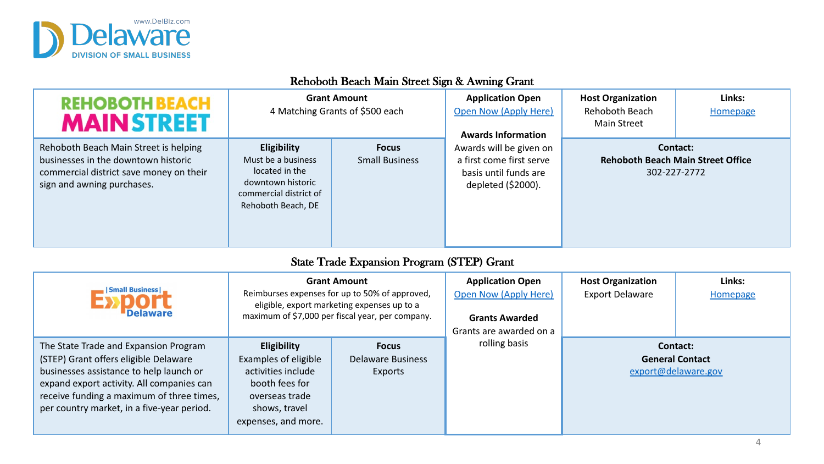

## **REH** M

Rehoboth B businesses commercial sign and aw

## Rehoboth Beach Main Street Sign & Awning Gra

| <b>IOBOTH BEACH</b><br><b>AINSTREET</b>                                                                        |                                                                                                                                 | <b>Grant Amount</b><br>4 Matching Grants of \$500 each | <b>Application O</b><br>Open Now (Apply<br><b>Awards Inform:</b>               |
|----------------------------------------------------------------------------------------------------------------|---------------------------------------------------------------------------------------------------------------------------------|--------------------------------------------------------|--------------------------------------------------------------------------------|
| Beach Main Street is helping<br>in the downtown historic<br>I district save money on their<br>vning purchases. | <b>Eligibility</b><br>Must be a business<br>located in the<br>downtown historic<br>commercial district of<br>Rehoboth Beach, DE | <b>Focus</b><br><b>Small Business</b>                  | Awards will be git<br>a first come first<br>basis until fund<br>depleted (\$20 |

## State Trade Expansion Program (STEP) Grant

| <b>Small Business  </b>                                                                                                                                                                                                                                           |                                                                                                                                              | <b>Grant Amount</b><br>Reimburses expenses for up to 50% of approved,<br>eligible, export marketing expenses up to a<br>maximum of \$7,000 per fiscal year, per company. | <b>Application O</b><br>Open Now (Apply<br><b>Grants Award</b><br>Grants are award |
|-------------------------------------------------------------------------------------------------------------------------------------------------------------------------------------------------------------------------------------------------------------------|----------------------------------------------------------------------------------------------------------------------------------------------|--------------------------------------------------------------------------------------------------------------------------------------------------------------------------|------------------------------------------------------------------------------------|
| The State Trade and Expansion Program<br>(STEP) Grant offers eligible Delaware<br>businesses assistance to help launch or<br>expand export activity. All companies can<br>receive funding a maximum of three times,<br>per country market, in a five-year period. | <b>Eligibility</b><br>Examples of eligible<br>activities include<br>booth fees for<br>overseas trade<br>shows, travel<br>expenses, and more. | <b>Focus</b><br><b>Delaware Business</b><br><b>Exports</b>                                                                                                               | rolling basi:                                                                      |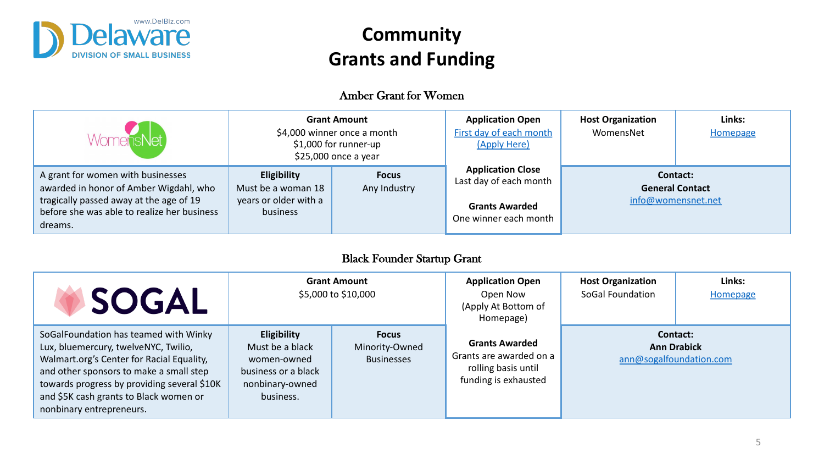

## **Community Grants and Funding**

#### Amber Grant for Women

| <b>WomensNet</b>                                                                                                                                                                 |                                                                               | <b>Grant Amount</b><br>\$4,000 winner once a month<br>\$1,000 for runner-up<br>\$25,000 once a year | <b>Application O</b><br>First day of each<br>(Apply Here                              |
|----------------------------------------------------------------------------------------------------------------------------------------------------------------------------------|-------------------------------------------------------------------------------|-----------------------------------------------------------------------------------------------------|---------------------------------------------------------------------------------------|
| A grant for women with businesses<br>awarded in honor of Amber Wigdahl, who<br>tragically passed away at the age of 19<br>before she was able to realize her business<br>dreams. | <b>Eligibility</b><br>Must be a woman 18<br>years or older with a<br>business | <b>Focus</b><br>Any Industry                                                                        | <b>Application Cl</b><br>Last day of each I<br><b>Grants Award</b><br>One winner each |

## Black Founder Startup Grant

| <b>SOGAL</b>                                                                                                                                                                                                                                                                               |                                                                                                             | <b>Grant Amount</b><br>\$5,000 to \$10,000          | <b>Application O</b><br>Open Now<br>(Apply At Botto<br>Homepage]               |
|--------------------------------------------------------------------------------------------------------------------------------------------------------------------------------------------------------------------------------------------------------------------------------------------|-------------------------------------------------------------------------------------------------------------|-----------------------------------------------------|--------------------------------------------------------------------------------|
| SoGalFoundation has teamed with Winky<br>Lux, bluemercury, twelveNYC, Twilio,<br>Walmart.org's Center for Racial Equality,<br>and other sponsors to make a small step<br>towards progress by providing several \$10K<br>and \$5K cash grants to Black women or<br>nonbinary entrepreneurs. | <b>Eligibility</b><br>Must be a black<br>women-owned<br>business or a black<br>nonbinary-owned<br>business. | <b>Focus</b><br>Minority-Owned<br><b>Businesses</b> | <b>Grants Award</b><br>Grants are award<br>rolling basis u<br>funding is exhat |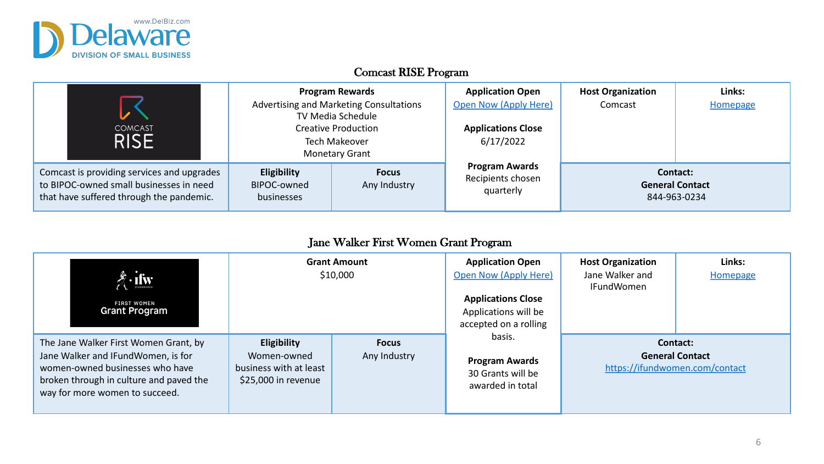

### Comcast RISE Program

| <b>COMCAST</b><br><b>RISE</b>                                                                                                     |                                                 | <b>Program Rewards</b><br>Advertising and Marketing Consultations<br><b>TV Media Schedule</b><br><b>Creative Production</b><br><b>Tech Makeover</b><br><b>Monetary Grant</b> | <b>Application O</b><br><b>Open Now (Apply</b><br><b>Applications C</b><br>6/17/2022 |
|-----------------------------------------------------------------------------------------------------------------------------------|-------------------------------------------------|------------------------------------------------------------------------------------------------------------------------------------------------------------------------------|--------------------------------------------------------------------------------------|
| Comcast is providing services and upgrades<br>to BIPOC-owned small businesses in need<br>that have suffered through the pandemic. | <b>Eligibility</b><br>BIPOC-owned<br>businesses | <b>Focus</b><br>Any Industry                                                                                                                                                 | <b>Program Awa</b><br>Recipients cho<br>quarterly                                    |

## Jane Walker First Women Grant Program

| <b>FIRST WOMEN</b><br><b>Grant Program</b>                                                                                                                                                  |                                                                             | <b>Grant Amount</b><br>\$10,000 | <b>Application O</b><br><b>Open Now (Apply</b><br><b>Applications C</b><br>Applications wi<br>accepted on a re |
|---------------------------------------------------------------------------------------------------------------------------------------------------------------------------------------------|-----------------------------------------------------------------------------|---------------------------------|----------------------------------------------------------------------------------------------------------------|
| The Jane Walker First Women Grant, by<br>Jane Walker and IFundWomen, is for<br>women-owned businesses who have<br>broken through in culture and paved the<br>way for more women to succeed. | Eligibility<br>Women-owned<br>business with at least<br>\$25,000 in revenue | <b>Focus</b><br>Any Industry    | basis.<br><b>Program Awa</b><br>30 Grants will<br>awarded in to                                                |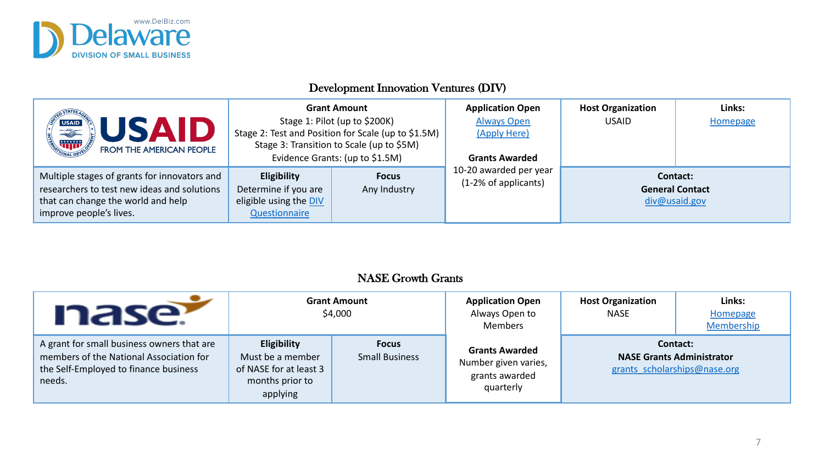

## Development Innovation Ventures (DIV)

| <b>USAID</b><br>JSAID                                                                                                                                        |                                                                                       | <b>Grant Amount</b><br>Stage 1: Pilot (up to \$200K)<br>Stage 2: Test and Position for Scale (up to \$1.5M) | Application O<br><b>Always Ope</b><br>(Apply Here |
|--------------------------------------------------------------------------------------------------------------------------------------------------------------|---------------------------------------------------------------------------------------|-------------------------------------------------------------------------------------------------------------|---------------------------------------------------|
| FROM THE AMERICAN PEOPLE                                                                                                                                     |                                                                                       | Stage 3: Transition to Scale (up to \$5M)<br>Evidence Grants: (up to \$1.5M)                                | <b>Grants Award</b>                               |
| Multiple stages of grants for innovators and<br>researchers to test new ideas and solutions<br>that can change the world and help<br>improve people's lives. | <b>Eligibility</b><br>Determine if you are<br>eligible using the DIV<br>Questionnaire | <b>Focus</b><br>Any Industry                                                                                | 10-20 awarded po<br>(1-2% of applica              |

### NASE Growth Grants

| nase                                                                                                                                     |                                                                                                 | <b>Grant Amount</b><br>\$4,000        | Application O<br>Always Open<br><b>Members</b>                     |
|------------------------------------------------------------------------------------------------------------------------------------------|-------------------------------------------------------------------------------------------------|---------------------------------------|--------------------------------------------------------------------|
| A grant for small business owners that are<br>members of the National Association for<br>the Self-Employed to finance business<br>needs. | <b>Eligibility</b><br>Must be a member<br>of NASE for at least 3<br>months prior to<br>applying | <b>Focus</b><br><b>Small Business</b> | <b>Grants Award</b><br>Number given v<br>grants award<br>quarterly |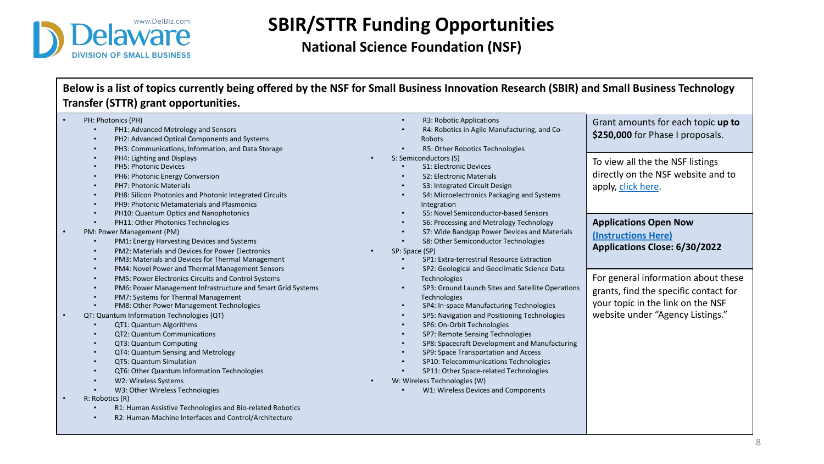

## **SBIR/STTR Funding Opportuni National Science Foundation (NSF)**

### Below is a list of topics currently being offered by the NSF for Small Business Innovation Rese **Transfer (STTR) grant opportunities.**

| PH: Photonics (PH)                                                       | R3: Robotic Applications<br>$\bullet$         |
|--------------------------------------------------------------------------|-----------------------------------------------|
| PH1: Advanced Metrology and Sensors                                      | R4: Robotics in Agile Manufactur              |
| PH2: Advanced Optical Components and Systems<br>$\bullet$                | Robots                                        |
| PH3: Communications, Information, and Data Storage<br>$\bullet$          | R5: Other Robotics Technologies<br>$\bullet$  |
| PH4: Lighting and Displays<br>$\bullet$                                  | S: Semiconductors (S)                         |
| <b>PH5: Photonic Devices</b><br>$\bullet$                                | S1: Electronic Devices                        |
| PH6: Photonic Energy Conversion<br>$\bullet$                             | S2: Electronic Materials<br>$\bullet$         |
| <b>PH7: Photonic Materials</b><br>$\bullet$                              | S3: Integrated Circuit Design<br>$\bullet$    |
| PH8: Silicon Photonics and Photonic Integrated Circuits<br>$\bullet$     | S4: Microelectronics Packaging a              |
| PH9: Photonic Metamaterials and Plasmonics<br>$\bullet$                  | Integration                                   |
| PH10: Quantum Optics and Nanophotonics<br>$\bullet$                      | S5: Novel Semiconductor-based !<br>$\bullet$  |
| PH11: Other Photonics Technologies<br>$\bullet$                          | S6: Processing and Metrology Te<br>$\bullet$  |
| PM: Power Management (PM)                                                | S7: Wide Bandgap Power Devices                |
| PM1: Energy Harvesting Devices and Systems<br>$\bullet$                  | S8: Other Semiconductor Techno<br>$\bullet$   |
| PM2: Materials and Devices for Power Electronics<br>$\bullet$            | SP: Space (SP)                                |
| PM3: Materials and Devices for Thermal Management<br>$\bullet$           | SP1: Extra-terrestrial Resource Ex            |
| PM4: Novel Power and Thermal Management Sensors<br>$\bullet$             | SP2: Geological and Geoclimatic               |
| PM5: Power Electronics Circuits and Control Systems<br>$\bullet$         | Technologies                                  |
| PM6: Power Management Infrastructure and Smart Grid Systems<br>$\bullet$ | SP3: Ground Launch Sites and Sal<br>$\bullet$ |
| PM7: Systems for Thermal Management                                      | Technologies                                  |
| PM8: Other Power Management Technologies                                 | SP4: In-space Manufacturing Tec<br>$\bullet$  |
| QT: Quantum Information Technologies (QT)                                | SP5: Navigation and Positioning<br>$\bullet$  |
| QT1: Quantum Algorithms                                                  | SP6: On-Orbit Technologies<br>$\bullet$       |
| <b>QT2: Quantum Communications</b><br>$\bullet$                          | SP7: Remote Sensing Technologi<br>$\bullet$   |
| QT3: Quantum Computing<br>$\bullet$                                      | SP8: Spacecraft Development an<br>$\bullet$   |
| QT4: Quantum Sensing and Metrology<br>$\bullet$                          | SP9: Space Transportation and A<br>$\bullet$  |
| QT5: Quantum Simulation<br>$\bullet$                                     | SP10: Telecommunications Techn<br>$\bullet$   |
| QT6: Other Quantum Information Technologies<br>$\bullet$                 | SP11: Other Space-related Techn<br>$\bullet$  |
| W2: Wireless Systems<br>$\bullet$                                        | W: Wireless Technologies (W)                  |
| W3: Other Wireless Technologies                                          | W1: Wireless Devices and Compo                |
| R: Robotics (R)                                                          |                                               |
| R1: Human Assistive Technologies and Bio-related Robotics<br>$\bullet$   |                                               |
| R2: Human-Machine Interfaces and Control/Architecture<br>$\bullet$       |                                               |